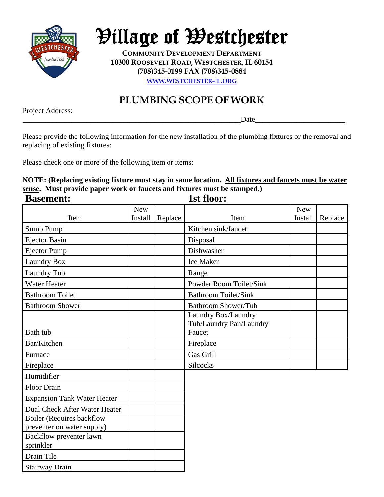

## Village of Westchester

**COMMUNITY DEVELOPMENT DEPARTMENT 10300 ROOSEVELT ROAD, WESTCHESTER, IL 60154 (708)345-0199 FAX (708)345-0884 WWW.WESTCHESTER-IL.ORG**

## **PLUMBING SCOPE OF WORK**

Project Address:

\_\_\_\_\_\_\_\_\_\_\_\_\_\_\_\_\_\_\_\_\_\_\_\_\_\_\_\_\_\_\_\_\_\_\_\_\_\_\_\_\_\_\_\_\_\_\_\_\_\_\_\_\_\_\_\_\_\_Date\_\_\_\_\_\_\_\_\_\_\_\_\_\_\_\_\_\_\_\_\_\_\_\_

Please provide the following information for the new installation of the plumbing fixtures or the removal and replacing of existing fixtures:

Please check one or more of the following item or items:

## **NOTE: (Replacing existing fixture must stay in same location. All fixtures and faucets must be water sense.** Must provide paper work or faucets and fixtures must be stamped.)<br> **Resoment:** 1st floor:  $\overline{\mathbf{p}}_{\alpha\alpha\mathbf{m}\alpha\mathbf{n}}$

| <b>Basement:</b>                                               |            |         | 18t 1100F:                                     |            |         |
|----------------------------------------------------------------|------------|---------|------------------------------------------------|------------|---------|
|                                                                | <b>New</b> |         |                                                | <b>New</b> |         |
| Item                                                           | Install    | Replace | Item                                           | Install    | Replace |
| Sump Pump                                                      |            |         | Kitchen sink/faucet                            |            |         |
| <b>Ejector Basin</b>                                           |            |         | Disposal                                       |            |         |
| <b>Ejector Pump</b>                                            |            |         | Dishwasher                                     |            |         |
| Laundry Box                                                    |            |         | <b>Ice Maker</b>                               |            |         |
| Laundry Tub                                                    |            |         | Range                                          |            |         |
| <b>Water Heater</b>                                            |            |         | <b>Powder Room Toilet/Sink</b>                 |            |         |
| <b>Bathroom Toilet</b>                                         |            |         | <b>Bathroom Toilet/Sink</b>                    |            |         |
| <b>Bathroom Shower</b>                                         |            |         | <b>Bathroom Shower/Tub</b>                     |            |         |
|                                                                |            |         | Laundry Box/Laundry<br>Tub/Laundry Pan/Laundry |            |         |
| Bath tub                                                       |            |         | Faucet                                         |            |         |
| Bar/Kitchen                                                    |            |         | Fireplace                                      |            |         |
| Furnace                                                        |            |         | Gas Grill                                      |            |         |
| Fireplace                                                      |            |         | <b>Silcocks</b>                                |            |         |
| Humidifier                                                     |            |         |                                                |            |         |
| <b>Floor Drain</b>                                             |            |         |                                                |            |         |
| <b>Expansion Tank Water Heater</b>                             |            |         |                                                |            |         |
| Dual Check After Water Heater                                  |            |         |                                                |            |         |
| <b>Boiler</b> (Requires backflow<br>preventer on water supply) |            |         |                                                |            |         |
| Backflow preventer lawn<br>sprinkler                           |            |         |                                                |            |         |
| Drain Tile                                                     |            |         |                                                |            |         |
| <b>Stairway Drain</b>                                          |            |         |                                                |            |         |